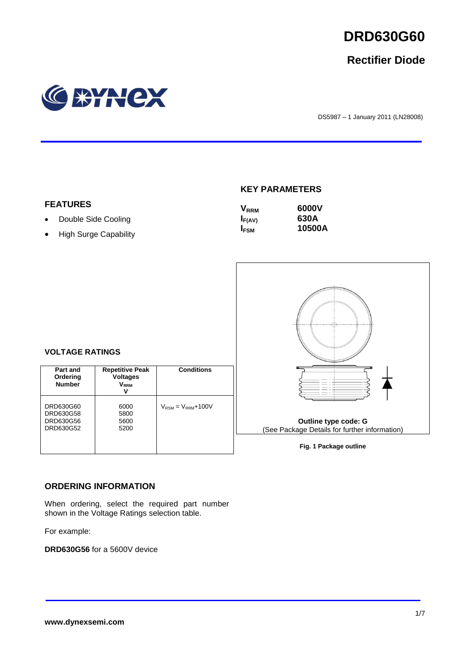

# **Rectifier Diode**



DS5987 – 1 January 2011 (LN28008)

# **KEY PARAMETERS**

| <b>V</b> <sub>RRM</sub> | 6000V  |
|-------------------------|--------|
| $I_{F(AV)}$             | 630A   |
| <b>I</b> <sub>FSM</sub> | 10500A |



**Fig. 1 Package outline**

#### **VOLTAGE RATINGS**

**FEATURES**

• Double Side Cooling • High Surge Capability

| Part and<br>Ordering<br><b>Number</b>            | <b>Repetitive Peak</b><br><b>Voltages</b><br>V <sub>rrm</sub> | <b>Conditions</b>                        |
|--------------------------------------------------|---------------------------------------------------------------|------------------------------------------|
| DRD630G60<br>DRD630G58<br>DRD630G56<br>DRD630G52 | 6000<br>5800<br>5600<br>5200                                  | $V_{\text{RSM}} = V_{\text{RRM}} + 100V$ |

#### **ORDERING INFORMATION**

When ordering, select the required part number shown in the Voltage Ratings selection table.

For example:

**DRD630G56** for a 5600V device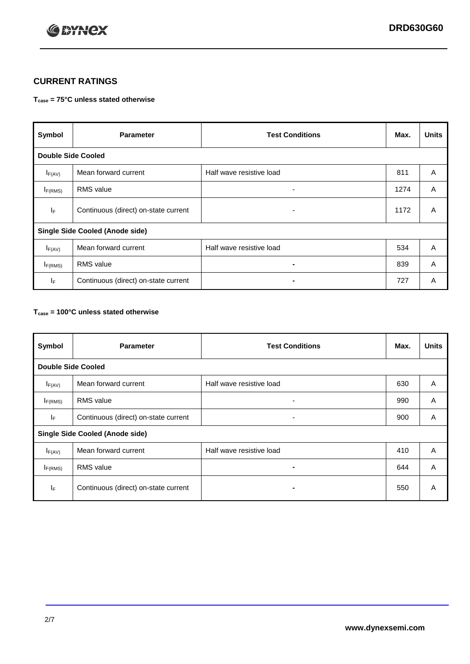

## **CURRENT RATINGS**

#### **Tcase = 75°C unless stated otherwise**

| Symbol                                 | <b>Parameter</b>                     | <b>Test Conditions</b>   | Max. | <b>Units</b> |  |
|----------------------------------------|--------------------------------------|--------------------------|------|--------------|--|
| <b>Double Side Cooled</b>              |                                      |                          |      |              |  |
| $I_{F(AV)}$                            | Mean forward current                 | Half wave resistive load | 811  | A            |  |
| $I_{F(RMS)}$                           | <b>RMS</b> value                     | ۰                        | 1274 | A            |  |
| IF                                     | Continuous (direct) on-state current | ۰                        | 1172 | A            |  |
| <b>Single Side Cooled (Anode side)</b> |                                      |                          |      |              |  |
| $I_{F(AV)}$                            | Mean forward current                 | Half wave resistive load | 534  | A            |  |
| $I_{F(RMS)}$                           | <b>RMS</b> value                     | ۰                        | 839  | A            |  |
| IF.                                    | Continuous (direct) on-state current |                          | 727  | A            |  |

#### **Tcase = 100°C unless stated otherwise**

| Symbol                                 | <b>Parameter</b>                     | <b>Test Conditions</b>   | Max. | <b>Units</b> |
|----------------------------------------|--------------------------------------|--------------------------|------|--------------|
| <b>Double Side Cooled</b>              |                                      |                          |      |              |
| $I_{F(AV)}$                            | Mean forward current                 | Half wave resistive load | 630  | A            |
| $I_{F(RMS)}$                           | <b>RMS</b> value                     | ۰                        | 990  | A            |
| IF.                                    | Continuous (direct) on-state current | ٠                        | 900  | A            |
| <b>Single Side Cooled (Anode side)</b> |                                      |                          |      |              |
| $I_{F(AV)}$                            | Mean forward current                 | Half wave resistive load | 410  | A            |
| I <sub>F(RMS)</sub>                    | <b>RMS</b> value                     |                          | 644  | A            |
| IF                                     | Continuous (direct) on-state current | -                        | 550  | A            |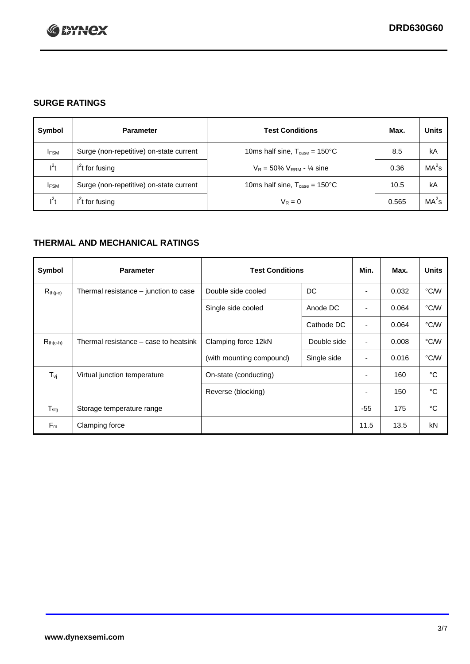

## **SURGE RATINGS**

| Symbol      | <b>Parameter</b>                        | <b>Test Conditions</b>                            | Max.  | <b>Units</b>      |
|-------------|-----------------------------------------|---------------------------------------------------|-------|-------------------|
| <b>IFSM</b> | Surge (non-repetitive) on-state current | 10ms half sine, $T_{\text{case}} = 150^{\circ}$ C | 8.5   | kA                |
| $l^2t$      | $I2t$ for fusing                        | $V_R = 50\% V_{RRM} - \frac{1}{4}$ sine           | 0.36  | MA <sup>2</sup> s |
| <b>IFSM</b> | Surge (non-repetitive) on-state current | 10ms half sine, $T_{\text{case}} = 150^{\circ}$ C | 10.5  | kA                |
| $l^2t$      | $I2t$ for fusing                        | $V_R = 0$                                         | 0.565 | MA <sup>2</sup> s |

## **THERMAL AND MECHANICAL RATINGS**

| Symbol                     | <b>Parameter</b>                      | <b>Test Conditions</b>   |             | Min.  | Max.  | <b>Units</b> |
|----------------------------|---------------------------------------|--------------------------|-------------|-------|-------|--------------|
| $R_{th(j-c)}$              | Thermal resistance – junction to case | Double side cooled       | DC          |       | 0.032 | °C/W         |
|                            |                                       | Single side cooled       | Anode DC    |       | 0.064 | °C/W         |
|                            |                                       |                          | Cathode DC  |       | 0.064 | °C/W         |
| $R_{th(c-h)}$              | Thermal resistance – case to heatsink | Clamping force 12kN      | Double side | ٠     | 0.008 | °C/W         |
|                            |                                       | (with mounting compound) | Single side | ٠     | 0.016 | °C/W         |
| $T_{\nu j}$                | Virtual junction temperature          | On-state (conducting)    |             | ٠     | 160   | °C           |
|                            |                                       | Reverse (blocking)       |             | ٠     | 150   | °C           |
| ${\mathsf T}_{\text{stg}}$ | Storage temperature range             |                          |             | $-55$ | 175   | °C           |
| $F_m$                      | Clamping force                        |                          |             | 11.5  | 13.5  | kN           |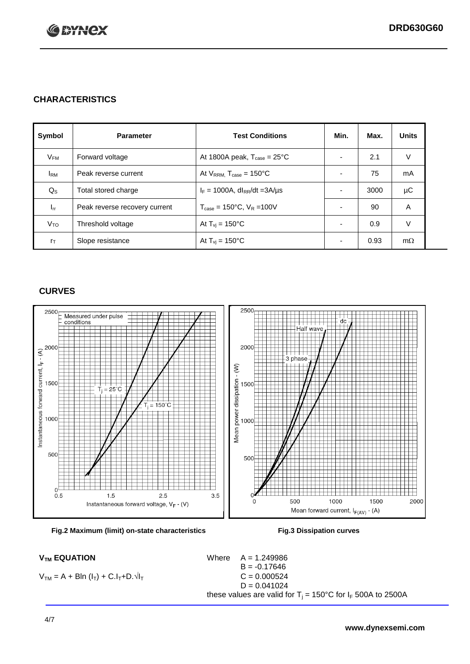

## **CHARACTERISTICS**

| Symbol                 | <b>Parameter</b>              | <b>Test Conditions</b>                          | Min.                     | Max. | <b>Units</b> |
|------------------------|-------------------------------|-------------------------------------------------|--------------------------|------|--------------|
| $V_{FM}$               | Forward voltage               | At 1800A peak, $T_{\text{case}} = 25^{\circ}C$  | $\overline{\phantom{0}}$ | 2.1  | V            |
| <b>I</b> <sub>RM</sub> | Peak reverse current          | At $V_{RRM}$ , $T_{case} = 150^{\circ}$ C       | ٠                        | 75   | mA           |
| $Q_{\rm S}$            | Total stored charge           | $I_F = 1000A$ , dl <sub>RR</sub> /dt = 3A/µs    | ٠                        | 3000 | μC           |
| $I_{rr}$               | Peak reverse recovery current | $T_{\text{case}} = 150^{\circ}$ C, $V_R = 100V$ | $\overline{\phantom{0}}$ | 90   | A            |
| Vто                    | Threshold voltage             | At $T_{vi}$ = 150 $^{\circ}$ C                  | ٠                        | 0.9  | V            |
| $r_{\text{T}}$         | Slope resistance              | At $T_{vi}$ = 150°C                             | $\overline{\phantom{0}}$ | 0.93 | $m\Omega$    |

## **CURVES**





 $V_{TM} = A + Bln (I_T) + C.I_T + D.\sqrt{I_T}$   $C = 0.000524$ 

 $V_{TM}$  **EQUATION** Where  $A = 1.249986$  $B = -0.17646$  $D = 0.041024$ these values are valid for  $T_j = 150^{\circ}$ C for  $I_F$  500A to 2500A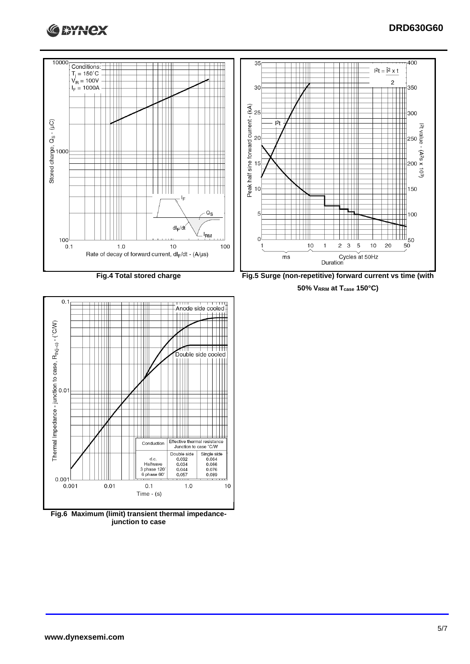





**junction to case**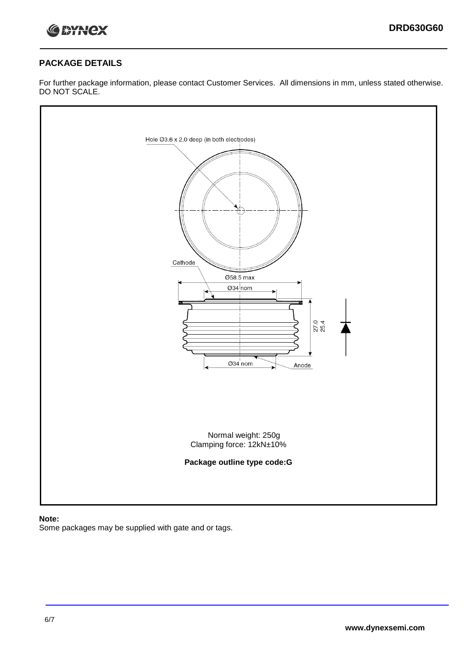

#### **PACKAGE DETAILS**

For further package information, please contact Customer Services. All dimensions in mm, unless stated otherwise. DO NOT SCALE.



#### **Note:**

Some packages may be supplied with gate and or tags.